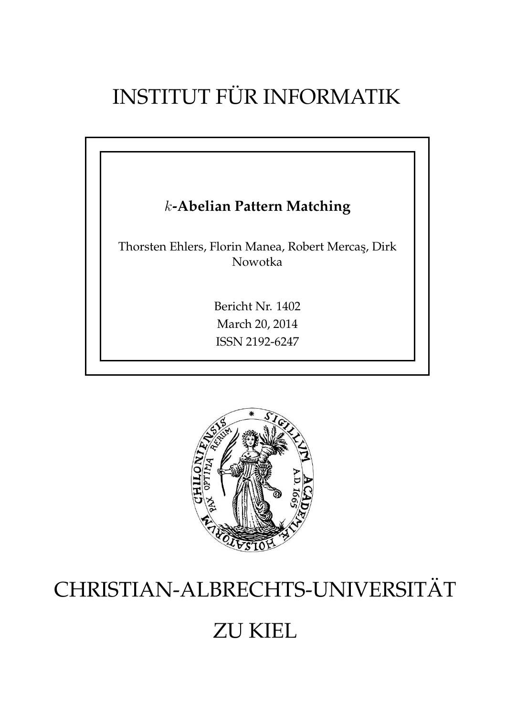## INSTITUT FÜR INFORMATIK

# k**-Abelian Pattern Matching** Thorsten Ehlers, Florin Manea, Robert Mercas¸, Dirk Nowotka Bericht Nr. 1402 March 20, 2014 ISSN 2192-6247



### CHRISTIAN-ALBRECHTS-UNIVERSITAT¨

### ZU KIEL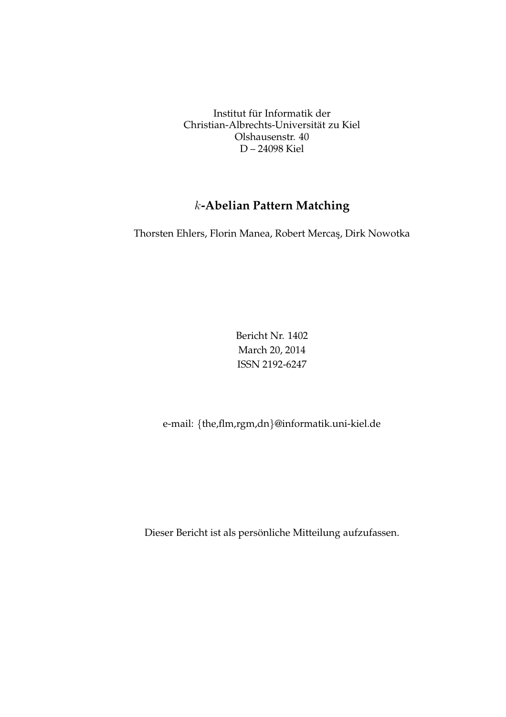Institut für Informatik der Christian-Albrechts-Universität zu Kiel Olshausenstr. 40 D – 24098 Kiel

### k**-Abelian Pattern Matching**

Thorsten Ehlers, Florin Manea, Robert Mercas¸, Dirk Nowotka

Bericht Nr. 1402 March 20, 2014 ISSN 2192-6247

e-mail: {the,flm,rgm,dn}@informatik.uni-kiel.de

Dieser Bericht ist als persönliche Mitteilung aufzufassen.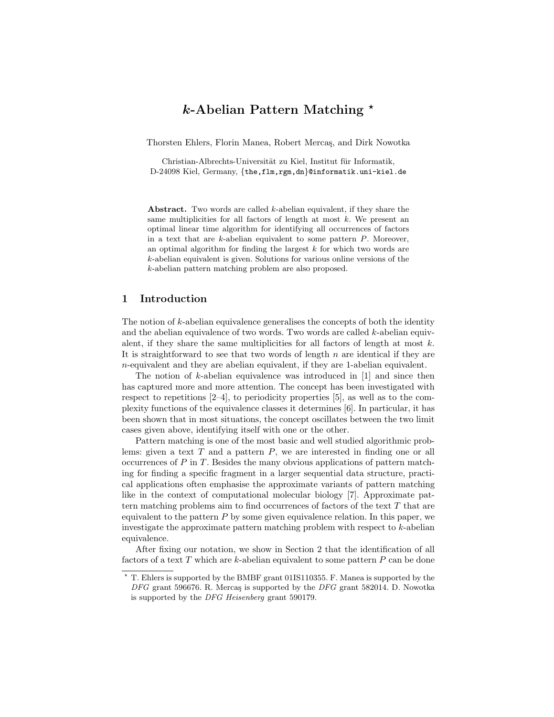#### *k*-Abelian Pattern Matching ?

Thorsten Ehlers, Florin Manea, Robert Mercas, and Dirk Nowotka

Christian-Albrechts-Universität zu Kiel, Institut für Informatik, D-24098 Kiel, Germany, *{*the,flm,rgm,dn*}*@informatik.uni-kiel.de

Abstract. Two words are called *k*-abelian equivalent, if they share the same multiplicities for all factors of length at most *k*. We present an optimal linear time algorithm for identifying all occurrences of factors in a text that are *k*-abelian equivalent to some pattern *P*. Moreover, an optimal algorithm for finding the largest *k* for which two words are *k*-abelian equivalent is given. Solutions for various online versions of the *k*-abelian pattern matching problem are also proposed.

#### 1 Introduction

The notion of *k*-abelian equivalence generalises the concepts of both the identity and the abelian equivalence of two words. Two words are called *k*-abelian equivalent, if they share the same multiplicities for all factors of length at most *k*. It is straightforward to see that two words of length *n* are identical if they are *n*-equivalent and they are abelian equivalent, if they are 1-abelian equivalent.

The notion of *k*-abelian equivalence was introduced in [1] and since then has captured more and more attention. The concept has been investigated with respect to repetitions [2–4], to periodicity properties [5], as well as to the complexity functions of the equivalence classes it determines [6]. In particular, it has been shown that in most situations, the concept oscillates between the two limit cases given above, identifying itself with one or the other.

Pattern matching is one of the most basic and well studied algorithmic problems: given a text *T* and a pattern *P*, we are interested in finding one or all occurrences of *P* in *T*. Besides the many obvious applications of pattern matching for finding a specific fragment in a larger sequential data structure, practical applications often emphasise the approximate variants of pattern matching like in the context of computational molecular biology [7]. Approximate pattern matching problems aim to find occurrences of factors of the text *T* that are equivalent to the pattern *P* by some given equivalence relation. In this paper, we investigate the approximate pattern matching problem with respect to *k*-abelian equivalence.

After fixing our notation, we show in Section 2 that the identification of all factors of a text *T* which are *k*-abelian equivalent to some pattern *P* can be done

<sup>?</sup> T. Ehlers is supported by the BMBF grant 01IS110355. F. Manea is supported by the *DFG* grant 596676. R. Merca¸s is supported by the *DFG* grant 582014. D. Nowotka is supported by the *DFG Heisenberg* grant 590179.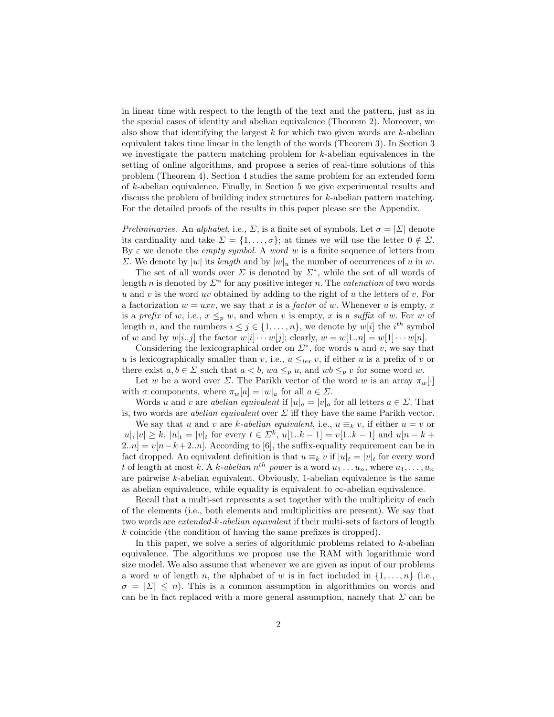in linear time with respect to the length of the text and the pattern, just as in the special cases of identity and abelian equivalence (Theorem 2). Moreover, we also show that identifying the largest *k* for which two given words are *k*-abelian equivalent takes time linear in the length of the words (Theorem 3). In Section 3 we investigate the pattern matching problem for *k*-abelian equivalences in the setting of online algorithms, and propose a series of real-time solutions of this problem (Theorem 4). Section 4 studies the same problem for an extended form of *k*-abelian equivalence. Finally, in Section 5 we give experimental results and discuss the problem of building index structures for *k*-abelian pattern matching. For the detailed proofs of the results in this paper please see the Appendix.

*Preliminaries.* An *alphabet*, i.e.,  $\Sigma$ , is a finite set of symbols. Let  $\sigma = |\Sigma|$  denote its cardinality and take  $\Sigma = \{1, \ldots, \sigma\}$ ; at times we will use the letter  $0 \notin \Sigma$ . By  $\varepsilon$  we denote the *empty symbol*. A *word w* is a finite sequence of letters from  $\Sigma$ . We denote by  $|w|$  its *length* and by  $|w|_u$  the number of occurrences of *u* in *w*.

The set of all words over  $\Sigma$  is denoted by  $\Sigma^*$ , while the set of all words of length *n* is denoted by  $\Sigma^n$  for any positive integer *n*. The *catenation* of two words *u* and *v* is the word *uv* obtained by adding to the right of *u* the letters of *v*. For a factorization  $w = uxv$ , we say that x is a *factor* of w. Whenever u is empty, x is a *prefix* of *w*, i.e.,  $x \leq_p w$ , and when *v* is empty, *x* is a *suffix* of *w*. For *w* of length *n*, and the numbers  $i \leq j \in \{1, \ldots, n\}$ , we denote by  $w[i]$  the  $i^{th}$  symbol of *w* and by  $w[i..j]$  the factor  $w[i] \cdots w[j]$ ; clearly,  $w = w[1..n] = w[1] \cdots w[n]$ .

Considering the lexicographical order on  $\Sigma^*$ , for words *u* and *v*, we say that *u* is lexicographically smaller than *v*, i.e.,  $u \leq_{lex} v$ , if either *u* is a prefix of *v* or there exist  $a, b \in \Sigma$  such that  $a < b$ ,  $wa \leq_p u$ , and  $wb \leq_p v$  for some word *w*.

Let *w* be a word over  $\Sigma$ . The Parikh vector of the word *w* is an array  $\pi_w[\cdot]$ with  $\sigma$  components, where  $\pi_w[a] = |w|_a$  for all  $a \in \Sigma$ .

Words *u* and *v* are *abelian equivalent* if  $|u|_a = |v|_a$  for all letters  $a \in \Sigma$ . That is, two words are *abelian equivalent* over  $\Sigma$  iff they have the same Parikh vector.

We say that *u* and *v* are *k*-abelian equivalent, i.e.,  $u \equiv_k v$ , if either  $u = v$  or  $|u|, |v| \ge k, |u|_t = |v|_t$  for every  $t \in \Sigma^k$ ,  $u[1..k-1] = v[1..k-1]$  and  $u[n-k+1]$  $2\ldots n$  =  $v[n-k+2\ldots n]$ . According to [6], the suffix-equality requirement can be in fact dropped. An equivalent definition is that  $u \equiv_k v$  if  $|u|_t = |v|_t$  for every word *t* of length at most *k*. A *k-abelian*  $n^{th}$  *power* is a word  $u_1 \ldots u_n$ , where  $u_1, \ldots, u_n$ are pairwise *k*-abelian equivalent. Obviously, 1-abelian equivalence is the same as abelian equivalence, while equality is equivalent to  $\infty$ -abelian equivalence.

Recall that a multi-set represents a set together with the multiplicity of each of the elements (i.e., both elements and multiplicities are present). We say that two words are *extended-k-abelian equivalent* if their multi-sets of factors of length *k* coincide (the condition of having the same prefixes is dropped).

In this paper, we solve a series of algorithmic problems related to *k*-abelian equivalence. The algorithms we propose use the RAM with logarithmic word size model. We also assume that whenever we are given as input of our problems a word *w* of length *n*, the alphabet of *w* is in fact included in  $\{1,\ldots,n\}$  (i.e.,  $\sigma = |\Sigma| \leq n$ . This is a common assumption in algorithmics on words and can be in fact replaced with a more general assumption, namely that  $\Sigma$  can be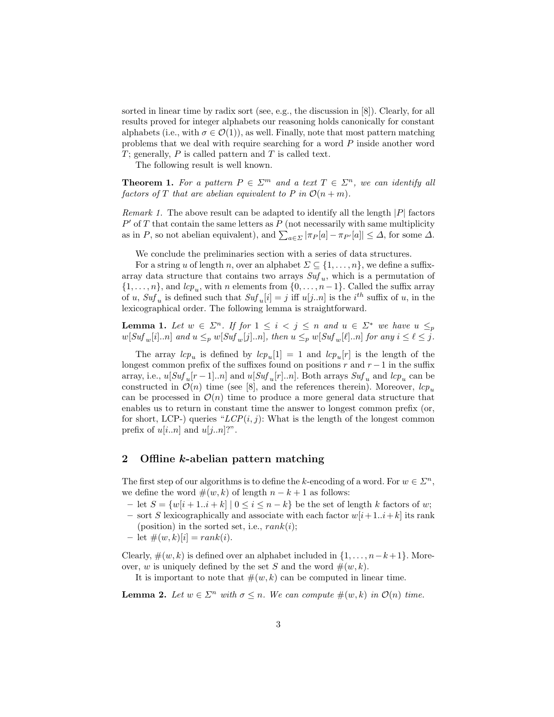sorted in linear time by radix sort (see, e.g., the discussion in [8]). Clearly, for all results proved for integer alphabets our reasoning holds canonically for constant alphabets (i.e., with  $\sigma \in \mathcal{O}(1)$ ), as well. Finally, note that most pattern matching problems that we deal with require searching for a word *P* inside another word *T*; generally, *P* is called pattern and *T* is called text.

The following result is well known.

**Theorem 1.** For a pattern  $P \in \Sigma^m$  and a text  $T \in \Sigma^n$ , we can identify all *factors of T that are abelian equivalent to P in*  $\mathcal{O}(n+m)$ *.* 

*Remark 1.* The above result can be adapted to identify all the length *|P|* factors  $P'$  of  $T$  that contain the same letters as  $P$  (not necessarily with same multiplicity as in *P*, so not abelian equivalent), and  $\sum_{a \in \Sigma} |\pi_P[a] - \pi_{P'}[a]| \leq \Delta$ , for some  $\Delta$ .

We conclude the preliminaries section with a series of data structures.

For a string *u* of length *n*, over an alphabet  $\Sigma \subseteq \{1, \ldots, n\}$ , we define a suffixarray data structure that contains two arrays *Suf <sup>u</sup>*, which is a permutation of  $\{1, \ldots, n\}$ , and  $\ln n$  elements from  $\{0, \ldots, n-1\}$ . Called the suffix array of *u*,  $Suf_u$  is defined such that  $Suf_u[i] = j$  iff  $u[j..n]$  is the  $i^{th}$  suffix of *u*, in the lexicographical order. The following lemma is straightforward.

**Lemma 1.** Let  $w \in \Sigma^n$ . If for  $1 \leq i < j \leq n$  and  $u \in \Sigma^*$  we have  $u \leq_p$  $w[Suf_w[i]..n]$  and  $u \leq_p w[Suf_w[j]..n]$ , then  $u \leq_p w[Suf_w[\ell]..n]$  for any  $i \leq \ell \leq j$ .

The array  $lcp_u$  is defined by  $lcp_u[1] = 1$  and  $lcp_u[r]$  is the length of the longest common prefix of the suffixes found on positions  $r$  and  $r-1$  in the suffix array, i.e.,  $u[Suf_u[r-1]..n]$  and  $u[Suf_u[r]..n]$ . Both arrays  $Suf_u$  and  $lcp_u$  can be constructed in  $\mathcal{O}(n)$  time (see [8], and the references therein). Moreover,  $lcp_u$ can be processed in  $\mathcal{O}(n)$  time to produce a more general data structure that enables us to return in constant time the answer to longest common prefix (or, for short, LCP-) queries " $LCP(i, j)$ : What is the length of the longest common prefix of  $u[i..n]$  and  $u[j..n]$ ?".

#### 2 Offline *k*-abelian pattern matching

The first step of our algorithms is to define the *k*-encoding of a word. For  $w \in \mathbb{Z}^n$ , we define the word  $\#(w, k)$  of length  $n - k + 1$  as follows:

- $-$  let  $S = \{w[i+1..i+k] \mid 0 \leq i \leq n-k\}$  be the set of length *k* factors of *w*;
- sort *S* lexicographically and associate with each factor  $w[i+1..i+k]$  its rank (position) in the sorted set, i.e., *rank*(*i*);
- $-$  let  $\#(w, k)[i] = rank(i).$

Clearly,  $\#(w, k)$  is defined over an alphabet included in  $\{1, \ldots, n-k+1\}$ . Moreover, *w* is uniquely defined by the set *S* and the word  $\#(w, k)$ .

It is important to note that  $\#(w, k)$  can be computed in linear time.

**Lemma 2.** Let  $w \in \Sigma^n$  with  $\sigma \leq n$ . We can compute  $\#(w, k)$  in  $\mathcal{O}(n)$  time.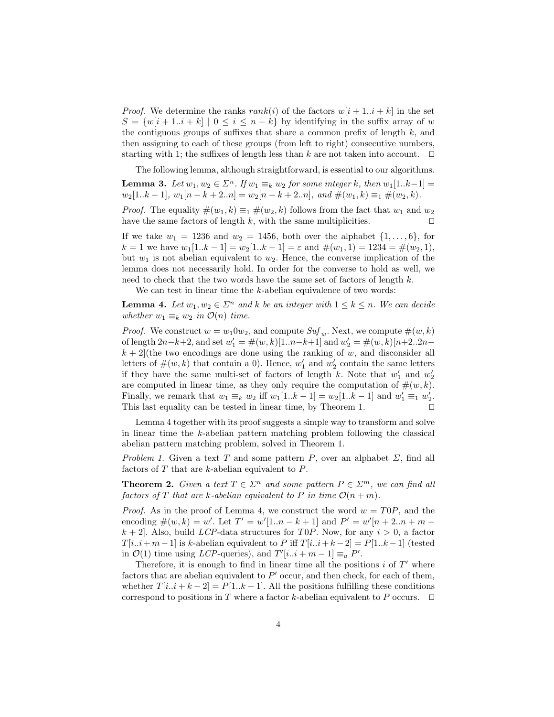*Proof.* We determine the ranks  $rank(i)$  of the factors  $w[i + 1..i + k]$  in the set  $S = \{w[i+1..i+k] \mid 0 \leq i \leq n-k\}$  by identifying in the suffix array of *w* the contiguous groups of suffixes that share a common prefix of length  $k$ , and then assigning to each of these groups (from left to right) consecutive numbers, starting with 1; the suffixes of length less than  $k$  are not taken into account.  $\Box$ 

The following lemma, although straightforward, is essential to our algorithms. **Lemma 3.** Let  $w_1, w_2 \in \Sigma^n$ . If  $w_1 \equiv_k w_2$  for some integer k, then  $w_1[1..k-1] =$  $w_2[1..k-1], w_1[n-k+2..n] = w_2[n-k+2..n], and  $\#(w_1,k) \equiv_1 \#(w_2,k)$ .$ 

*Proof.* The equality  $\#(w_1, k) \equiv_1 \#(w_2, k)$  follows from the fact that  $w_1$  and  $w_2$  have the same factors of length k, with the same multiplicities. have the same factors of length  $k$ , with the same multiplicities.

If we take  $w_1 = 1236$  and  $w_2 = 1456$ , both over the alphabet  $\{1, \ldots, 6\}$ , for  $k = 1$  we have  $w_1[1..k - 1] = w_2[1..k - 1] = \varepsilon$  and  $\#(w_1, 1) = 1234 = \#(w_2, 1)$ , but  $w_1$  is not abelian equivalent to  $w_2$ . Hence, the converse implication of the lemma does not necessarily hold. In order for the converse to hold as well, we need to check that the two words have the same set of factors of length *k*.

We can test in linear time the *k*-abelian equivalence of two words:

**Lemma 4.** Let  $w_1, w_2 \in \Sigma^n$  and k be an integer with  $1 \leq k \leq n$ . We can decide *whether*  $w_1 \equiv_k w_2$  *in*  $\mathcal{O}(n)$  *time.* 

*Proof.* We construct  $w = w_1 0 w_2$ , and compute  $Suf_w$ . Next, we compute  $\#(w, k)$ of length  $2n-k+2$ , and set  $w'_1 = \#(w, k)[1..n-k+1]$  and  $w'_2 = \#(w, k)[n+2..2n$  $k + 2$  (the two encodings are done using the ranking of *w*, and disconsider all letters of  $\#(w, k)$  that contain a 0). Hence,  $w'_1$  and  $w'_2$  contain the same letters if they have the same multi-set of factors of length  $k$ . Note that  $w'_1$  and  $w'_2$ are computed in linear time, as they only require the computation of  $\#(w, k)$ . Finally, we remark that  $w_1 \equiv_k w_2$  iff  $w_1[1..k-1] = w_2[1..k-1]$  and  $w'_1 \equiv_1 w'_2$ . This last equality can be tested in linear time, by Theorem 1.  $\Box$ 

Lemma 4 together with its proof suggests a simple way to transform and solve in linear time the *k*-abelian pattern matching problem following the classical abelian pattern matching problem, solved in Theorem 1.

*Problem 1.* Given a text *T* and some pattern *P*, over an alphabet  $\Sigma$ , find all factors of *T* that are *k*-abelian equivalent to *P*.

**Theorem 2.** *Given a text*  $T \in \Sigma^n$  *and some pattern*  $P \in \Sigma^m$ *, we can find all factors of T that are k-abelian equivalent to P in time*  $\mathcal{O}(n+m)$ *.* 

*Proof.* As in the proof of Lemma 4, we construct the word  $w = T0P$ , and the encoding  $\#(w, k) = w'$ . Let  $T' = w'[1..n - k + 1]$  and  $P' = w'[n + 2..n + m - k]$  $k + 2$ . Also, build *LCP*-data structures for *T0P*. Now, for any  $i > 0$ , a factor  $T[i..i+m-1]$  is *k*-abelian equivalent to *P* iff  $T[i..i+k-2] = P[1..k-1]$  (tested in  $\mathcal{O}(1)$  time using *LCP*-queries), and  $T'[i..i + m - 1] \equiv_a P'$ .

Therefore, it is enough to find in linear time all the positions  $i$  of  $T'$  where factors that are abelian equivalent to  $P'$  occur, and then check, for each of them, whether  $T[i..i+k-2] = P[1..k-1]$ . All the positions fulfilling these conditions correspond to positions in *T* where a factor *k*-abelian equivalent to *P* occurs.  $\Box$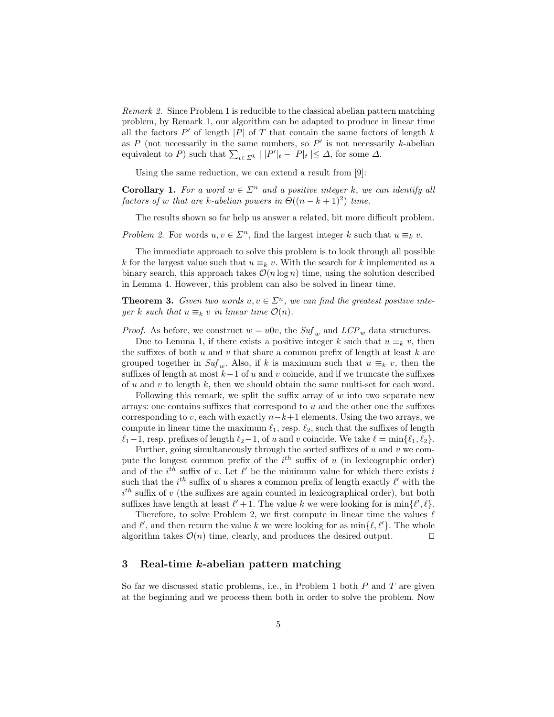*Remark 2.* Since Problem 1 is reducible to the classical abelian pattern matching problem, by Remark 1, our algorithm can be adapted to produce in linear time all the factors  $P'$  of length  $|P|$  of  $T$  that contain the same factors of length  $k$ as  $P$  (not necessarily in the same numbers, so  $P'$  is not necessarily  $k$ -abelian equivalent to *P*) such that  $\sum_{t \in \Sigma^k} | |P'|_t - |P|_t | \leq \Delta$ , for some  $\Delta$ .

Using the same reduction, we can extend a result from [9]:

**Corollary 1.** For a word  $w \in \Sigma^n$  and a positive integer k, we can identify all *factors of w that are k-abelian powers in*  $\Theta((n-k+1)^2)$  *time.* 

The results shown so far help us answer a related, bit more difficult problem.

*Problem 2.* For words  $u, v \in \Sigma^n$ , find the largest integer *k* such that  $u \equiv_k v$ .

The immediate approach to solve this problem is to look through all possible *k* for the largest value such that  $u \equiv_k v$ . With the search for *k* implemented as a binary search, this approach takes  $\mathcal{O}(n \log n)$  time, using the solution described in Lemma 4. However, this problem can also be solved in linear time.

**Theorem 3.** *Given two words*  $u, v \in \Sigma^n$ , we can find the greatest positive inte*ger k such that*  $u \equiv_k v$  *in linear time*  $\mathcal{O}(n)$ *.* 

*Proof.* As before, we construct  $w = u0v$ , the  $Suf_w$  and  $LCP_w$  data structures.

Due to Lemma 1, if there exists a positive integer k such that  $u \equiv_k v$ , then the suffixes of both  $u$  and  $v$  that share a common prefix of length at least  $k$  are grouped together in  $\mathit{Suf}_w$ . Also, if *k* is maximum such that  $u \equiv_k v$ , then the suffixes of length at most  $k-1$  of  $u$  and  $v$  coincide, and if we truncate the suffixes of *u* and *v* to length *k*, then we should obtain the same multi-set for each word.

Following this remark, we split the suffix array of *w* into two separate new arrays: one contains suffixes that correspond to *u* and the other one the suffixes corresponding to *v*, each with exactly  $n-k+1$  elements. Using the two arrays, we compute in linear time the maximum  $\ell_1$ , resp.  $\ell_2$ , such that the suffixes of length  $\ell_1-1$ , resp. prefixes of length  $\ell_2-1$ , of *u* and *v* coincide. We take  $\ell = \min{\{\ell_1, \ell_2\}}$ .

Further, going simultaneously through the sorted suffixes of  $u$  and  $v$  we compute the longest common prefix of the  $i^{th}$  suffix of  $u$  (in lexicographic order) and of the  $i^{th}$  suffix of v. Let  $\ell'$  be the minimum value for which there exists  $i$ such that the  $i^{th}$  suffix of *u* shares a common prefix of length exactly  $\ell'$  with the  $i^{th}$  suffix of *v* (the suffixes are again counted in lexicographical order), but both suffixes have length at least  $\ell' + 1$ . The value *k* we were looking for is min $\{\ell', \ell\}$ .

Therefore, to solve Problem 2, we first compute in linear time the values  $\ell$ and  $\ell'$ , and then return the value  $k$  we were looking for as  $\min\{\ell, \ell'\}$ . The whole algorithm takes  $\mathcal{O}(n)$  time, clearly, and produces the desired output.  $\square$ 

#### 3 Real-time *k*-abelian pattern matching

So far we discussed static problems, i.e., in Problem 1 both *P* and *T* are given at the beginning and we process them both in order to solve the problem. Now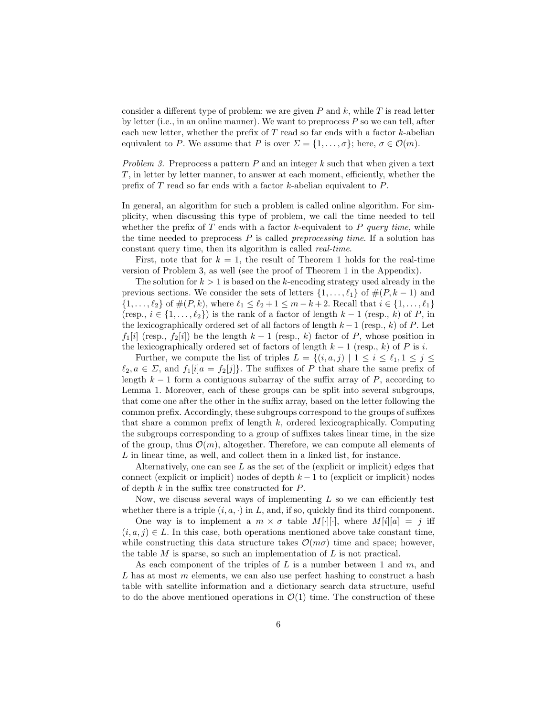consider a different type of problem: we are given  $P$  and  $k$ , while  $T$  is read letter by letter (i.e., in an online manner). We want to preprocess *P* so we can tell, after each new letter, whether the prefix of *T* read so far ends with a factor *k*-abelian equivalent to *P*. We assume that *P* is over  $\Sigma = \{1, \ldots, \sigma\}$ ; here,  $\sigma \in \mathcal{O}(m)$ .

*Problem 3.* Preprocess a pattern *P* and an integer *k* such that when given a text *T*, in letter by letter manner, to answer at each moment, efficiently, whether the prefix of *T* read so far ends with a factor *k*-abelian equivalent to *P*.

In general, an algorithm for such a problem is called online algorithm. For simplicity, when discussing this type of problem, we call the time needed to tell whether the prefix of *T* ends with a factor *k*-equivalent to *P query time*, while the time needed to preprocess *P* is called *preprocessing time*. If a solution has constant query time, then its algorithm is called *real-time*.

First, note that for  $k = 1$ , the result of Theorem 1 holds for the real-time version of Problem 3, as well (see the proof of Theorem 1 in the Appendix).

The solution for  $k > 1$  is based on the *k*-encoding strategy used already in the previous sections. We consider the sets of letters  $\{1, \ldots, \ell_1\}$  of  $\#(P, k-1)$  and  $\{1, \ldots, \ell_2\}$  of  $\#(P, k)$ , where  $\ell_1 \leq \ell_2 + 1 \leq m - k + 2$ . Recall that  $i \in \{1, \ldots, \ell_1\}$ (resp.,  $i \in \{1, \ldots, \ell_2\}$ ) is the rank of a factor of length  $k-1$  (resp., k) of P, in the lexicographically ordered set of all factors of length  $k-1$  (resp.,  $k$ ) of  $P$ . Let  $f_1[i]$  (resp.,  $f_2[i]$ ) be the length  $k-1$  (resp.,  $k$ ) factor of  $P$ , whose position in the lexicographically ordered set of factors of length  $k-1$  (resp.,  $k$ ) of  $P$  is *i*.

Further, we compute the list of triples  $L = \{(i, a, j) | 1 \le i \le \ell_1, 1 \le j \le n\}$  $\ell_2, a \in \Sigma$ , and  $f_1[i]a = f_2[j]$ . The suffixes of *P* that share the same prefix of length  $k-1$  form a contiguous subarray of the suffix array of P, according to Lemma 1. Moreover, each of these groups can be split into several subgroups, that come one after the other in the suffix array, based on the letter following the common prefix. Accordingly, these subgroups correspond to the groups of suffixes that share a common prefix of length *k*, ordered lexicographically. Computing the subgroups corresponding to a group of suffixes takes linear time, in the size of the group, thus  $\mathcal{O}(m)$ , altogether. Therefore, we can compute all elements of *L* in linear time, as well, and collect them in a linked list, for instance.

Alternatively, one can see *L* as the set of the (explicit or implicit) edges that connect (explicit or implicit) nodes of depth  $k-1$  to (explicit or implicit) nodes of depth  $k$  in the suffix tree constructed for  $P$ .

Now, we discuss several ways of implementing L so we can efficiently test whether there is a triple  $(i, a, \cdot)$  in *L*, and, if so, quickly find its third component.

One way is to implement a  $m \times \sigma$  table  $M[\cdot][\cdot]$ , where  $M[i][a] = j$  iff  $(i, a, j) \in L$ . In this case, both operations mentioned above take constant time, while constructing this data structure takes  $\mathcal{O}(m\sigma)$  time and space; however, the table *M* is sparse, so such an implementation of *L* is not practical.

As each component of the triples of *L* is a number between 1 and *m*, and *L* has at most *m* elements, we can also use perfect hashing to construct a hash table with satellite information and a dictionary search data structure, useful to do the above mentioned operations in  $\mathcal{O}(1)$  time. The construction of these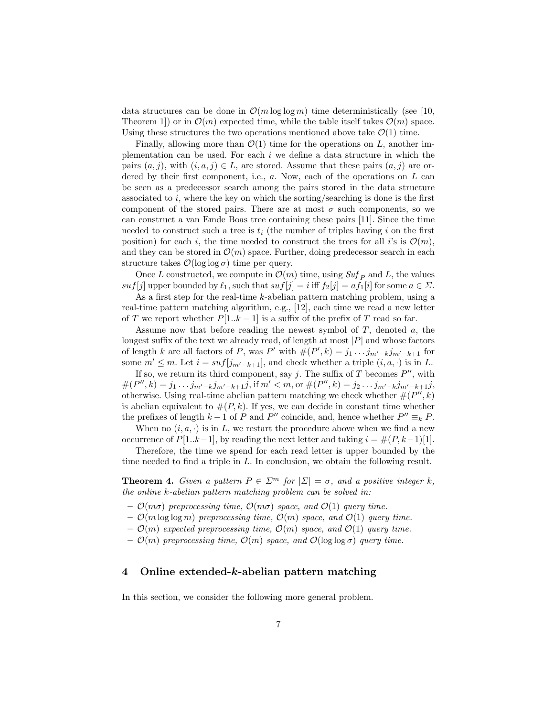data structures can be done in  $\mathcal{O}(m \log \log m)$  time deterministically (see [10, Theorem 1) or in  $\mathcal{O}(m)$  expected time, while the table itself takes  $\mathcal{O}(m)$  space. Using these structures the two operations mentioned above take  $\mathcal{O}(1)$  time.

Finally, allowing more than  $\mathcal{O}(1)$  time for the operations on *L*, another implementation can be used. For each *i* we define a data structure in which the pairs  $(a, j)$ , with  $(i, a, j) \in L$ , are stored. Assume that these pairs  $(a, j)$  are ordered by their first component, i.e., *a*. Now, each of the operations on *L* can be seen as a predecessor search among the pairs stored in the data structure associated to *i*, where the key on which the sorting/searching is done is the first component of the stored pairs. There are at most  $\sigma$  such components, so we can construct a van Emde Boas tree containing these pairs [11]. Since the time needed to construct such a tree is  $t_i$  (the number of triples having  $i$  on the first position) for each *i*, the time needed to construct the trees for all *i*'s is  $\mathcal{O}(m)$ , and they can be stored in  $\mathcal{O}(m)$  space. Further, doing predecessor search in each structure takes  $\mathcal{O}(\log \log \sigma)$  time per query.

Once *L* constructed, we compute in  $\mathcal{O}(m)$  time, using  $\mathcal{S}uf_{P}$  and *L*, the values *suf*[*j*] upper bounded by  $\ell_1$ , such that  $suf[j] = i$  iff  $f_2[j] = af_1[i]$  for some  $a \in \Sigma$ .

As a first step for the real-time *k*-abelian pattern matching problem, using a real-time pattern matching algorithm, e.g., [12], each time we read a new letter of *T* we report whether  $P[1..k-1]$  is a suffix of the prefix of *T* read so far.

Assume now that before reading the newest symbol of *T*, denoted *a*, the longest suffix of the text we already read, of length at most  $|P|$  and whose factors of length *k* are all factors of *P*, was *P*<sup>*i*</sup> with  $#(P', k) = j_1 \dots j_{m'-k} j_{m'-k+1}$  for some  $m' \leq m$ . Let  $i = \text{snf}[j_{m'-k+1}]$ , and check whether a triple  $(i, a, \cdot)$  is in *L*.

If so, we return its third component, say  $j$ . The suffix of  $T$  becomes  $P''$ , with  $\#(P'',k) = j_1 \dots j_{m'-k} j_{m'-k+1} j$ , if  $m' < m$ , or  $\#(P'',k) = j_2 \dots j_{m'-k} j_{m'-k+1} j$ , otherwise. Using real-time abelian pattern matching we check whether  $#(P'', k)$ is abelian equivalent to  $#(P, k)$ . If yes, we can decide in constant time whether the prefixes of length  $k-1$  of *P* and *P*<sup>*n*</sup> coincide, and, hence whether  $P'' \equiv_k P$ .

When no  $(i, a, \cdot)$  is in *L*, we restart the procedure above when we find a new occurrence of  $P[1..k-1]$ , by reading the next letter and taking  $i = \#(P, k-1)[1]$ .

Therefore, the time we spend for each read letter is upper bounded by the time needed to find a triple in *L*. In conclusion, we obtain the following result.

**Theorem 4.** *Given a pattern*  $P \in \Sigma^m$  *for*  $|\Sigma| = \sigma$ *, and a positive integer k, the online k-abelian pattern matching problem can be solved in:*

- $\mathcal{O}(m\sigma)$  preprocessing time,  $\mathcal{O}(m\sigma)$  space, and  $\mathcal{O}(1)$  guery time.
- $\mathcal{O}(m \log \log m)$  preprocessing time,  $\mathcal{O}(m)$  space, and  $\mathcal{O}(1)$  query time.
- $\mathcal{O}(m)$  *expected preprocessing time,*  $\mathcal{O}(m)$  *space, and*  $\mathcal{O}(1)$  *query time.*
- $\mathcal{O}(m)$  preprocessing time,  $\mathcal{O}(m)$  space, and  $\mathcal{O}(\log \log \sigma)$  query time.

#### 4 Online extended-*k*-abelian pattern matching

In this section, we consider the following more general problem.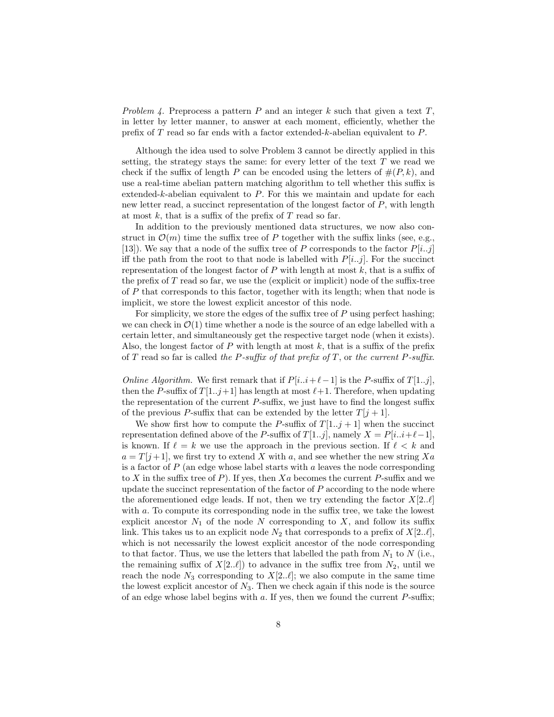*Problem 4.* Preprocess a pattern *P* and an integer *k* such that given a text *T*, in letter by letter manner, to answer at each moment, efficiently, whether the prefix of *T* read so far ends with a factor extended-*k*-abelian equivalent to *P*.

Although the idea used to solve Problem 3 cannot be directly applied in this setting, the strategy stays the same: for every letter of the text *T* we read we check if the suffix of length *P* can be encoded using the letters of  $#(P, k)$ , and use a real-time abelian pattern matching algorithm to tell whether this suffix is extended-*k*-abelian equivalent to *P*. For this we maintain and update for each new letter read, a succinct representation of the longest factor of *P*, with length at most  $k$ , that is a suffix of the prefix of  $T$  read so far.

In addition to the previously mentioned data structures, we now also construct in  $\mathcal{O}(m)$  time the suffix tree of P together with the suffix links (see, e.g., [13]). We say that a node of the suffix tree of *P* corresponds to the factor  $P[i..j]$ iff the path from the root to that node is labelled with  $P[i..j]$ . For the succinct representation of the longest factor of  $P$  with length at most  $k$ , that is a suffix of the prefix of  $T$  read so far, we use the (explicit or implicit) node of the suffix-tree of *P* that corresponds to this factor, together with its length; when that node is implicit, we store the lowest explicit ancestor of this node.

For simplicity, we store the edges of the suffix tree of  $P$  using perfect hashing; we can check in  $\mathcal{O}(1)$  time whether a node is the source of an edge labelled with a certain letter, and simultaneously get the respective target node (when it exists). Also, the longest factor of  $P$  with length at most  $k$ , that is a suffix of the prefix of *T* read so far is called *the P-suffix of that prefix of T*, or *the current P-suffix.* 

*Online Algorithm.* We first remark that if  $P[i..i+\ell-1]$  is the *P*-suffix of  $T[1..j]$ , then the *P*-suffix of  $T[1..j+1]$  has length at most  $\ell+1$ . Therefore, when updating the representation of the current  $P$ -suffix, we just have to find the longest suffix of the previous *P*-suffix that can be extended by the letter  $T[j+1]$ .

We show first how to compute the *P*-suffix of  $T[1..j+1]$  when the succinct representation defined above of the *P*-suffix of *T*[1*..j*], namely  $X = P[i..i+\ell-1]$ , is known. If  $\ell = k$  we use the approach in the previous section. If  $\ell < k$  and  $a = T[j+1]$ , we first try to extend *X* with *a*, and see whether the new string *Xa* is a factor of *P* (an edge whose label starts with *a* leaves the node corresponding to X in the suffix tree of  $P$ ). If yes, then  $Xa$  becomes the current  $P$ -suffix and we update the succinct representation of the factor of *P* according to the node where the aforementioned edge leads. If not, then we try extending the factor  $X[2..\ell]$ with  $a$ . To compute its corresponding node in the suffix tree, we take the lowest explicit ancestor  $N_1$  of the node  $N$  corresponding to  $X$ , and follow its suffix link. This takes us to an explicit node  $N_2$  that corresponds to a prefix of  $X[2..\ell],$ which is not necessarily the lowest explicit ancestor of the node corresponding to that factor. Thus, we use the letters that labelled the path from  $N_1$  to  $N$  (i.e., the remaining suffix of  $X[2..\ell]$ ) to advance in the suffix tree from  $N_2$ , until we reach the node  $N_3$  corresponding to  $X[2..\ell]$ ; we also compute in the same time the lowest explicit ancestor of  $N_3$ . Then we check again if this node is the source of an edge whose label begins with  $a$ . If yes, then we found the current  $P$ -suffix;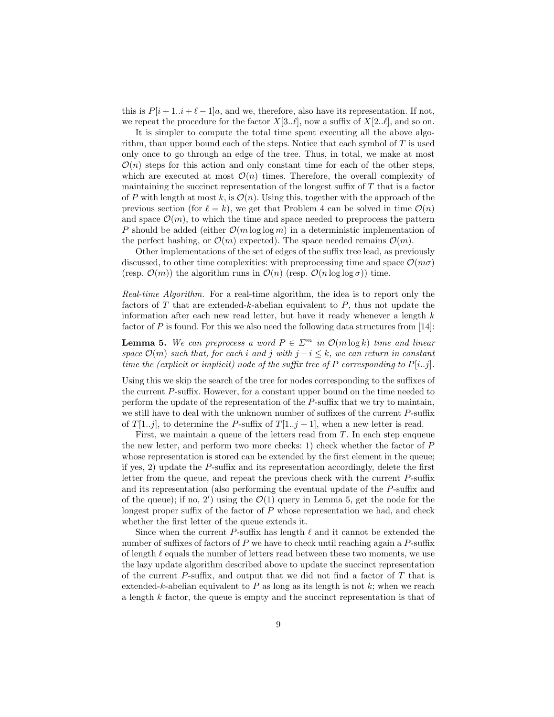this is  $P[i+1..i+\ell-1]a$ , and we, therefore, also have its representation. If not, we repeat the procedure for the factor  $X[3..\ell]$ , now a suffix of  $X[2..\ell]$ , and so on.

It is simpler to compute the total time spent executing all the above algorithm, than upper bound each of the steps. Notice that each symbol of *T* is used only once to go through an edge of the tree. Thus, in total, we make at most  $\mathcal{O}(n)$  steps for this action and only constant time for each of the other steps, which are executed at most  $\mathcal{O}(n)$  times. Therefore, the overall complexity of maintaining the succinct representation of the longest suffix of  $T$  that is a factor of *P* with length at most *k*, is  $\mathcal{O}(n)$ . Using this, together with the approach of the previous section (for  $\ell = k$ ), we get that Problem 4 can be solved in time  $\mathcal{O}(n)$ and space  $\mathcal{O}(m)$ , to which the time and space needed to preprocess the pattern *P* should be added (either  $\mathcal{O}(m \log \log m)$  in a deterministic implementation of the perfect hashing, or  $\mathcal{O}(m)$  expected). The space needed remains  $\mathcal{O}(m)$ .

Other implementations of the set of edges of the suffix tree lead, as previously discussed, to other time complexities: with preprocessing time and space  $\mathcal{O}(m\sigma)$ (resp.  $\mathcal{O}(m)$ ) the algorithm runs in  $\mathcal{O}(n)$  (resp.  $\mathcal{O}(n \log \log \sigma)$ ) time.

*Real-time Algorithm.* For a real-time algorithm, the idea is to report only the factors of *T* that are extended-*k*-abelian equivalent to *P*, thus not update the information after each new read letter, but have it ready whenever a length *k* factor of *P* is found. For this we also need the following data structures from [14]:

**Lemma 5.** We can preprocess a word  $P \in \Sigma^m$  in  $\mathcal{O}(m \log k)$  time and linear *space*  $\mathcal{O}(m)$  *such that, for each i and j with*  $j - i \leq k$ *, we can return in constant time the (explicit or implicit) node of the suffix tree of*  $P$  *corresponding to*  $P[i..j]$ *.* 

Using this we skip the search of the tree for nodes corresponding to the suffixes of the current P-suffix. However, for a constant upper bound on the time needed to perform the update of the representation of the *P*-suffix that we try to maintain, we still have to deal with the unknown number of suffixes of the current P-suffix of  $T[1..j]$ , to determine the *P*-suffix of  $T[1..j+1]$ , when a new letter is read.

First, we maintain a queue of the letters read from *T*. In each step enqueue the new letter, and perform two more checks: 1) check whether the factor of *P* whose representation is stored can be extended by the first element in the queue; if yes, 2) update the  $P$ -suffix and its representation accordingly, delete the first letter from the queue, and repeat the previous check with the current  $P$ -suffix and its representation (also performing the eventual update of the *P*-suffix and of the queue); if no, 2') using the  $\mathcal{O}(1)$  query in Lemma 5, get the node for the longest proper suffix of the factor of  $P$  whose representation we had, and check whether the first letter of the queue extends it.

Since when the current  $P$ -suffix has length  $\ell$  and it cannot be extended the number of suffixes of factors of  $P$  we have to check until reaching again a  $P$ -suffix of length  $\ell$  equals the number of letters read between these two moments, we use the lazy update algorithm described above to update the succinct representation of the current *P*-suffix, and output that we did not find a factor of T that is extended-*k*-abelian equivalent to *P* as long as its length is not *k*; when we reach a length *k* factor, the queue is empty and the succinct representation is that of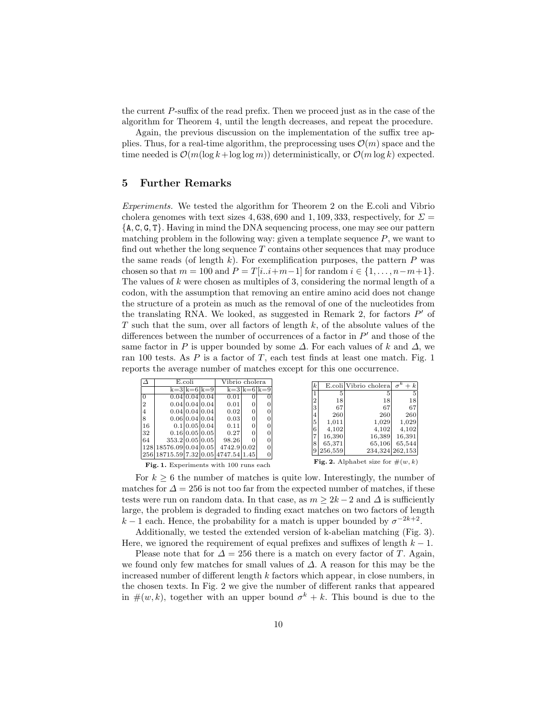the current *P*-suffix of the read prefix. Then we proceed just as in the case of the algorithm for Theorem 4, until the length decreases, and repeat the procedure.

Again, the previous discussion on the implementation of the suffix tree applies. Thus, for a real-time algorithm, the preprocessing uses  $\mathcal{O}(m)$  space and the time needed is  $\mathcal{O}(m(\log k + \log \log m))$  deterministically, or  $\mathcal{O}(m \log k)$  expected.

#### 5 Further Remarks

*Experiments.* We tested the algorithm for Theorem 2 on the E.coli and Vibrio cholera genomes with text sizes 4, 638, 690 and 1, 109, 333, respectively, for  $\Sigma =$ *{*A*,* C*,* G*,* T*}*. Having in mind the DNA sequencing process, one may see our pattern matching problem in the following way: given a template sequence *P*, we want to find out whether the long sequence *T* contains other sequences that may produce the same reads (of length  $k$ ). For exemplification purposes, the pattern  $P$  was chosen so that  $m = 100$  and  $P = T[i..i+m-1]$  for random  $i \in \{1, ..., n-m+1\}$ . The values of *k* were chosen as multiples of 3, considering the normal length of a codon, with the assumption that removing an entire amino acid does not change the structure of a protein as much as the removal of one of the nucleotides from the translating RNA. We looked, as suggested in Remark 2, for factors  $P'$  of *T* such that the sum, over all factors of length *k*, of the absolute values of the differences between the number of occurrences of a factor in  $P'$  and those of the same factor in *P* is upper bounded by some  $\Delta$ . For each values of k and  $\Delta$ , we ran 100 tests. As *P* is a factor of *T*, each test finds at least one match. Fig. 1 reports the average number of matches except for this one occurrence.

| $\Delta$       | E.coli                              |  | Vibrio cholera |             |                |   |   |           |                                      |                     |
|----------------|-------------------------------------|--|----------------|-------------|----------------|---|---|-----------|--------------------------------------|---------------------|
|                |                                     |  | $k=3 k=6 k=9 $ |             | $k=3 k=6 k=9 $ |   |   |           | E.coli Vibrio cholera                | $\sigma^k$<br>$+ k$ |
|                |                                     |  |                |             |                |   |   | 5         |                                      | 5                   |
| lo             |                                     |  | 0.04 0.04 0.04 | 0.01        | 0              |   | 2 | 18        | 18                                   | 18                  |
| 12             |                                     |  | 0.04 0.04 0.04 | 0.01        |                |   |   |           |                                      |                     |
| $\overline{4}$ |                                     |  | 0.04 0.04 0.04 | 0.02        | 0              |   | 3 | 67        | 67                                   | 67                  |
|                |                                     |  |                |             |                |   |   | 260       | 260                                  | 260                 |
| 8              |                                     |  | 0.06 0.04 0.04 | 0.03        | 0              | 0 | 5 | 1.011     | 1.029                                | 1,029               |
| 16             |                                     |  | 0.1 0.05 0.04  | 0.11        | 0              |   |   |           |                                      |                     |
| 32             |                                     |  | 0.16 0.05 0.05 | 0.27        |                |   |   | 4.102     | 4.102                                | 4.102               |
|                |                                     |  |                |             |                |   |   | 16,390    | 16,389                               | 16,391              |
| 64             | 353.2 0.05 0.05                     |  |                | 98.26       |                |   |   | 65,371    | 65,106                               | 65,544              |
|                | 12818576.0910.0410.051              |  |                | 4742.9 0.02 |                |   |   |           |                                      |                     |
|                | 256 18715.59 7.32 0.05 4747.54 1.45 |  |                |             |                | 0 |   | 9 256,559 |                                      | 234,324 262,153     |
|                |                                     |  |                |             |                |   |   |           | Fig. 2. Alphabet size for $\#(w, k)$ |                     |

Fig. 1. Experiments with 100 runs each

|                | 5                                                              | 5      | 5               |  |  |  |  |  |
|----------------|----------------------------------------------------------------|--------|-----------------|--|--|--|--|--|
| $\overline{2}$ | 18                                                             | 18     | 18              |  |  |  |  |  |
| 3              | 67                                                             | 67     | 67              |  |  |  |  |  |
| 4              | 260                                                            | 260    | 260             |  |  |  |  |  |
| 5              | 1,011                                                          | 1,029  | 1,029           |  |  |  |  |  |
| 6              | 4,102                                                          | 4,102  | 4,102           |  |  |  |  |  |
| 7              | 16,390                                                         | 16,389 | 16,391          |  |  |  |  |  |
| 8              | 65,371                                                         | 65,106 | 65,544          |  |  |  |  |  |
| 9              | 256,559                                                        |        | 234,324 262,153 |  |  |  |  |  |
|                | $\sin \cos \theta$<br>$\mathbf{L}$<br>Fic<br>$\lambda$ lebebst |        |                 |  |  |  |  |  |

for  $\#(w, k)$ 

For  $k \geq 6$  the number of matches is quite low. Interestingly, the number of matches for  $\Delta = 256$  is not too far from the expected number of matches, if these tests were run on random data. In that case, as  $m \geq 2k - 2$  and  $\Delta$  is sufficiently large, the problem is degraded to finding exact matches on two factors of length  $k-1$  each. Hence, the probability for a match is upper bounded by  $\sigma^{-2k+2}$ .

Additionally, we tested the extended version of k-abelian matching (Fig. 3). Here, we ignored the requirement of equal prefixes and suffixes of length  $k-1$ .

Please note that for  $\Delta = 256$  there is a match on every factor of *T*. Again, we found only few matches for small values of  $\Delta$ . A reason for this may be the increased number of different length  $k$  factors which appear, in close numbers, in the chosen texts. In Fig. 2 we give the number of different ranks that appeared in  $\#(w, k)$ , together with an upper bound  $\sigma^{k} + k$ . This bound is due to the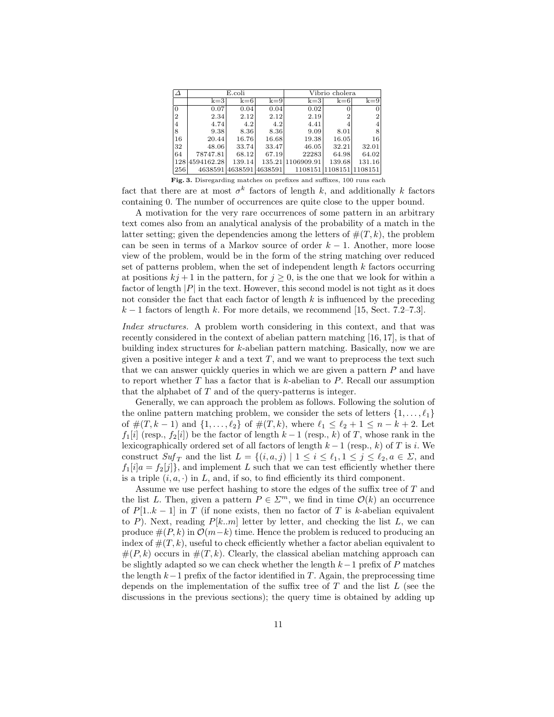|                |            | E.coli  |         | Vibrio cholera    |                         |        |
|----------------|------------|---------|---------|-------------------|-------------------------|--------|
|                | $k=3$      | $k=6$   | $k=9$   | $k=3$             | $k=6$                   | $k=9$  |
| $\Omega$       | 0.07       | 0.04    | 0.04    | 0.02              |                         |        |
| $\overline{2}$ | 2.34       | 2.12    | 2.12    | 2.19              | 2                       | 2      |
| 4              | 4.74       | 4.2     | 4.2     | 4.41              |                         |        |
| 8              | 9.38       | 8.36    | 8.36    | 9.09              | 8.01                    | 8      |
| 16             | 20.44      | 16.76   | 16.68   | 19.38             | 16.05                   | 16     |
| 32             | 48.06      | 33.74   | 33.47   | 46.05             | 32.21                   | 32.01  |
| 64             | 78747.81   | 68.12   | 67.19   | 22283             | 64.98                   | 64.02  |
| 128            | 4594162.28 | 139.14  |         | 135.21 1106909.91 | 139.68                  | 131.16 |
| 256            | 4638591    | 4638591 | 4638591 |                   | 1108151 1108151 1108151 |        |

Fig. 3. Disregarding matches on prefixes and suffixes, 100 runs each

fact that there are at most  $\sigma^k$  factors of length k, and additionally k factors containing 0. The number of occurrences are quite close to the upper bound.

A motivation for the very rare occurrences of some pattern in an arbitrary text comes also from an analytical analysis of the probability of a match in the latter setting; given the dependencies among the letters of  $#(T, k)$ , the problem can be seen in terms of a Markov source of order  $k-1$ . Another, more loose view of the problem, would be in the form of the string matching over reduced set of patterns problem, when the set of independent length *k* factors occurring at positions  $kj + 1$  in the pattern, for  $j \geq 0$ , is the one that we look for within a factor of length  $|P|$  in the text. However, this second model is not tight as it does not consider the fact that each factor of length *k* is influenced by the preceding  $k-1$  factors of length k. For more details, we recommend [15, Sect. 7.2–7.3].

*Index structures.* A problem worth considering in this context, and that was recently considered in the context of abelian pattern matching [16, 17], is that of building index structures for *k*-abelian pattern matching. Basically, now we are given a positive integer *k* and a text *T*, and we want to preprocess the text such that we can answer quickly queries in which we are given a pattern *P* and have to report whether *T* has a factor that is *k*-abelian to *P*. Recall our assumption that the alphabet of *T* and of the query-patterns is integer.

Generally, we can approach the problem as follows. Following the solution of the online pattern matching problem, we consider the sets of letters  $\{1, \ldots, \ell_1\}$ of  $\#(T, k-1)$  and  $\{1, \ldots, \ell_2\}$  of  $\#(T, k)$ , where  $\ell_1 \leq \ell_2 + 1 \leq n - k + 2$ . Let  $f_1[i]$  (resp.,  $f_2[i]$ ) be the factor of length  $k-1$  (resp.,  $k$ ) of *T*, whose rank in the lexicographically ordered set of all factors of length  $k-1$  (resp., k) of *T* is *i*. We construct  $Suf_T$  and the list  $L = \{(i, a, j) | 1 \le i \le \ell_1, 1 \le j \le \ell_2, a \in \Sigma, \text{ and }$  $f_1[i]a = f_2[j]$ , and implement *L* such that we can test efficiently whether there is a triple  $(i, a, \cdot)$  in *L*, and, if so, to find efficiently its third component.

Assume we use perfect hashing to store the edges of the suffix tree of *T* and the list *L*. Then, given a pattern  $P \in \mathbb{Z}^m$ , we find in time  $\mathcal{O}(k)$  an occurrence of  $P[1..k-1]$  in  $T$  (if none exists, then no factor of  $T$  is k-abelian equivalent to *P*). Next, reading  $P[k..m]$  letter by letter, and checking the list *L*, we can produce  $\#(P, k)$  in  $\mathcal{O}(m-k)$  time. Hence the problem is reduced to producing an index of  $\#(T,k)$ , useful to check efficiently whether a factor abelian equivalent to  $#(P, k)$  occurs in  $#(T, k)$ . Clearly, the classical abelian matching approach can be slightly adapted so we can check whether the length  $k-1$  prefix of  $P$  matches the length  $k-1$  prefix of the factor identified in *T*. Again, the preprocessing time depends on the implementation of the suffix tree of  $T$  and the list  $L$  (see the discussions in the previous sections); the query time is obtained by adding up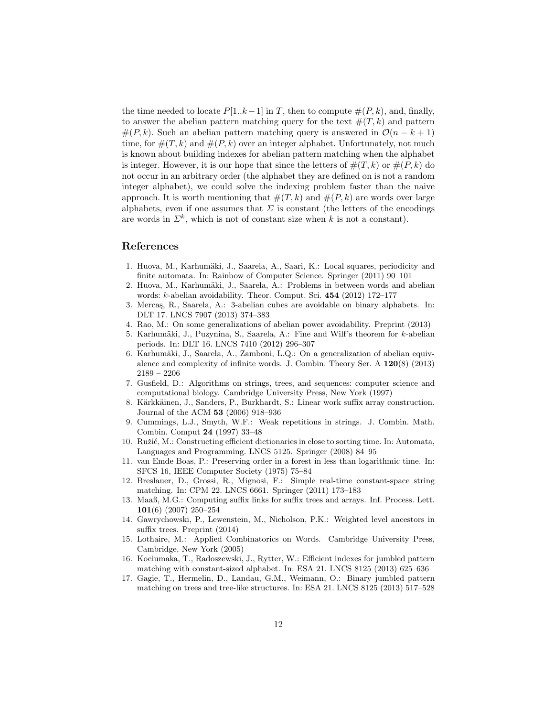the time needed to locate  $P[1..k-1]$  in *T*, then to compute  $\#(P, k)$ , and, finally, to answer the abelian pattern matching query for the text  $#(T,k)$  and pattern  $#(P, k)$ . Such an abelian pattern matching query is answered in  $\mathcal{O}(n - k + 1)$ time, for  $\#(T,k)$  and  $\#(P,k)$  over an integer alphabet. Unfortunately, not much is known about building indexes for abelian pattern matching when the alphabet is integer. However, it is our hope that since the letters of  $\#(T, k)$  or  $\#(P, k)$  do not occur in an arbitrary order (the alphabet they are defined on is not a random integer alphabet), we could solve the indexing problem faster than the naive approach. It is worth mentioning that  $\#(T, k)$  and  $\#(P, k)$  are words over large alphabets, even if one assumes that  $\Sigma$  is constant (the letters of the encodings are words in  $\Sigma^k$ , which is not of constant size when *k* is not a constant).

#### References

- 1. Huova, M., Karhumäki, J., Saarela, A., Saari, K.: Local squares, periodicity and finite automata. In: Rainbow of Computer Science. Springer (2011) 90–101
- 2. Huova, M., Karhumäki, J., Saarela, A.: Problems in between words and abelian words: *k*-abelian avoidability. Theor. Comput. Sci. 454 (2012) 172–177
- 3. Mercas, R., Saarela, A.: 3-abelian cubes are avoidable on binary alphabets. In: DLT 17. LNCS 7907 (2013) 374–383
- 4. Rao, M.: On some generalizations of abelian power avoidability. Preprint (2013)
- 5. Karhumäki, J., Puzynina, S., Saarela, A.: Fine and Wilf's theorem for *k*-abelian periods. In: DLT 16. LNCS 7410 (2012) 296–307
- 6. Karhumäki, J., Saarela, A., Zamboni, L.Q.: On a generalization of abelian equivalence and complexity of infinite words. J. Combin. Theory Ser. A 120(8) (2013) 2189 – 2206
- 7. Gusfield, D.: Algorithms on strings, trees, and sequences: computer science and computational biology. Cambridge University Press, New York (1997)
- 8. Kärkkäinen, J., Sanders, P., Burkhardt, S.: Linear work suffix array construction. Journal of the ACM 53 (2006) 918–936
- 9. Cummings, L.J., Smyth, W.F.: Weak repetitions in strings. J. Combin. Math. Combin. Comput 24 (1997) 33–48
- 10. Ružić, M.: Constructing efficient dictionaries in close to sorting time. In: Automata, Languages and Programming. LNCS 5125. Springer (2008) 84–95
- 11. van Emde Boas, P.: Preserving order in a forest in less than logarithmic time. In: SFCS 16, IEEE Computer Society (1975) 75–84
- 12. Breslauer, D., Grossi, R., Mignosi, F.: Simple real-time constant-space string matching. In: CPM 22. LNCS 6661. Springer (2011) 173–183
- 13. Maaß, M.G.: Computing suffix links for suffix trees and arrays. Inf. Process. Lett. 101(6) (2007) 250–254
- 14. Gawrychowski, P., Lewenstein, M., Nicholson, P.K.: Weighted level ancestors in suffix trees. Preprint  $(2014)$
- 15. Lothaire, M.: Applied Combinatorics on Words. Cambridge University Press, Cambridge, New York (2005)
- 16. Kociumaka, T., Radoszewski, J., Rytter, W.: Efficient indexes for jumbled pattern matching with constant-sized alphabet. In: ESA 21. LNCS 8125 (2013) 625–636
- 17. Gagie, T., Hermelin, D., Landau, G.M., Weimann, O.: Binary jumbled pattern matching on trees and tree-like structures. In: ESA 21. LNCS 8125 (2013) 517–528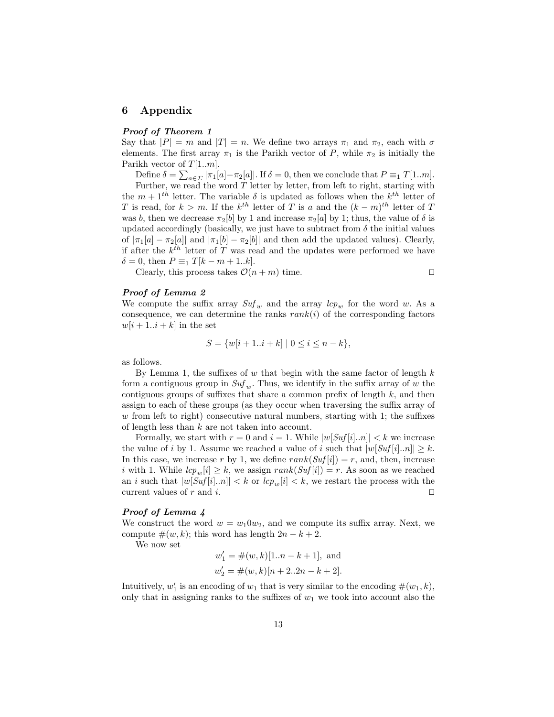#### 6 Appendix

#### *Proof of Theorem 1*

Say that  $|P| = m$  and  $|T| = n$ . We define two arrays  $\pi_1$  and  $\pi_2$ , each with  $\sigma$ elements. The first array  $\pi_1$  is the Parikh vector of *P*, while  $\pi_2$  is initially the Parikh vector of *T*[1*..m*].

Define  $\delta = \sum_{a \in \Sigma} |\pi_1[a] - \pi_2[a]|$ . If  $\delta = 0$ , then we conclude that  $P \equiv_1 T[1..m]$ .<br>Further, we read the word *T* letter by letter, from left to right, starting with the  $m + 1$ <sup>th</sup> letter. The variable  $\delta$  is updated as follows when the  $k$ <sup>th</sup> letter of *T* is read, for  $k > m$ . If the  $k^{th}$  letter of *T* is *a* and the  $(k - m)^{th}$  letter of *T* was *b*, then we decrease  $\pi_2[b]$  by 1 and increase  $\pi_2[a]$  by 1; thus, the value of  $\delta$  is updated accordingly (basically, we just have to subtract from  $\delta$  the initial values of  $|\pi_1[a] - \pi_2[a]|$  and  $|\pi_1[b] - \pi_2[b]|$  and then add the updated values). Clearly, if after the  $k^{th}$  letter of  $T$  was read and the updates were performed we have  $\delta = 0$ , then  $P \equiv_1 T[k - m + 1..k].$ 

Clearly, this process takes  $\mathcal{O}(n+m)$  time.

$$
\square
$$

#### *Proof of Lemma 2*

We compute the suffix array  $Suf_w$  and the array  $lcp_w$  for the word w. As a consequence, we can determine the ranks  $rank(i)$  of the corresponding factors  $w[i+1..i+k]$  in the set

$$
S = \{w[i+1..i+k] \mid 0 \le i \le n-k\},\
$$

as follows.

By Lemma 1, the suffixes of  $w$  that begin with the same factor of length  $k$ form a contiguous group in  $\mathit{Suf}_w$ . Thus, we identify in the suffix array of w the contiguous groups of suffixes that share a common prefix of length  $k$ , and then assign to each of these groups (as they occur when traversing the suffix array of w from left to right) consecutive natural numbers, starting with 1; the suffixes of length less than *k* are not taken into account.

Formally, we start with  $r = 0$  and  $i = 1$ . While  $|w[Suf[i]..n]| < k$  we increase the value of *i* by 1. Assume we reached a value of *i* such that  $|w[Suf[i].n]| \geq k$ . In this case, we increase *r* by 1, we define  $rank(Suf[i]) = r$ , and, then, increase *i* with 1. While  $lcp_w[i] \geq k$ , we assign  $rank(Suf[i]) = r$ . As soon as we reached an *i* such that  $|w[Suf[i]..n]| < k$  or  $lcp_w[i] < k$ , we restart the process with the current values of *r* and *i*. current values of  $r$  and  $i$ .

#### *Proof of Lemma 4*

We construct the word  $w = w_1 0 w_2$ , and we compute its suffix array. Next, we compute  $\#(w, k)$ ; this word has length  $2n - k + 2$ .

We now set

$$
w'_1 = #(w, k)[1..n - k + 1],
$$
 and  
 $w'_2 = #(w, k)[n + 2..2n - k + 2].$ 

Intuitively,  $w'_1$  is an encoding of  $w_1$  that is very similar to the encoding  $\#(w_1, k)$ , only that in assigning ranks to the suffixes of  $w_1$  we took into account also the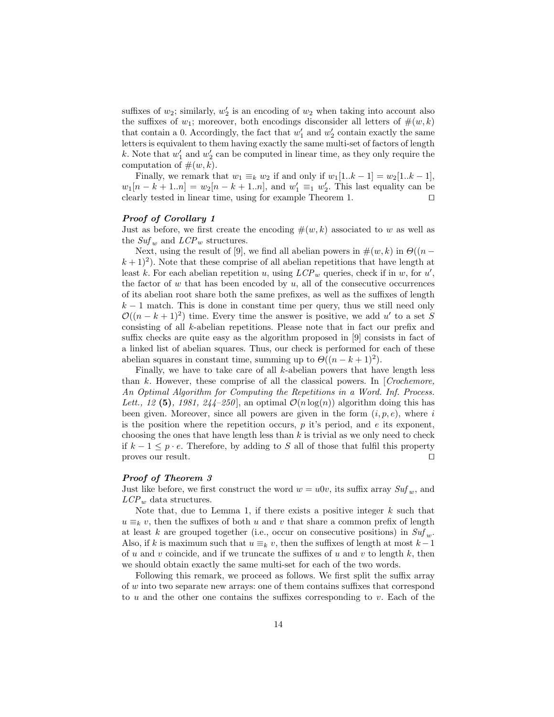suffixes of  $w_2$ ; similarly,  $w_2'$  is an encoding of  $w_2$  when taking into account also the suffixes of  $w_1$ ; moreover, both encodings disconsider all letters of  $\#(w, k)$ that contain a 0. Accordingly, the fact that  $w'_1$  and  $w'_2$  contain exactly the same letters is equivalent to them having exactly the same multi-set of factors of length k. Note that  $w'_1$  and  $w'_2$  can be computed in linear time, as they only require the computation of  $\#(w, k)$ .

Finally, we remark that  $w_1 \equiv_k w_2$  if and only if  $w_1[1..k-1] = w_2[1..k-1]$ ,  $w_1[n - k + 1..n] = w_2[n - k + 1..n]$ , and  $w'_1 \equiv_1 w'_2$ . This last equality can be clearly tested in linear time, using for example Theorem 1.  $\Box$ 

#### *Proof of Corollary 1*

Just as before, we first create the encoding  $\#(w, k)$  associated to *w* as well as the  $\mathit{Suf}_w$  and  $\mathit{LCP}_w$  structures.

Next, using the result of [9], we find all abelian powers in  $\#(w, k)$  in  $\Theta((n (k+1)^2$ ). Note that these comprise of all abelian repetitions that have length at least *k*. For each abelian repetition *u*, using  $LCP_w$  queries, check if in *w*, for *u'*, the factor of *w* that has been encoded by *u*, all of the consecutive occurrences of its abelian root share both the same prefixes, as well as the suffixes of length  $k-1$  match. This is done in constant time per query, thus we still need only  $\mathcal{O}((n-k+1)^2)$  time. Every time the answer is positive, we add u' to a set *S* consisting of all *k*-abelian repetitions. Please note that in fact our prefix and suffix checks are quite easy as the algorithm proposed in  $[9]$  consists in fact of a linked list of abelian squares. Thus, our check is performed for each of these abelian squares in constant time, summing up to  $\Theta((n - k + 1)^2)$ .

Finally, we have to take care of all *k*-abelian powers that have length less than *k*. However, these comprise of all the classical powers. In [*Crochemore, An Optimal Algorithm for Computing the Repetitions in a Word. Inf. Process.* Lett., 12 (5), 1981, 244–250, an optimal  $\mathcal{O}(n \log(n))$  algorithm doing this has been given. Moreover, since all powers are given in the form  $(i, p, e)$ , where  $i$ is the position where the repetition occurs,  $p$  it's period, and  $e$  its exponent, choosing the ones that have length less than *k* is trivial as we only need to check if  $k - 1 \leq p \cdot e$ . Therefore, by adding to *S* all of those that fulfil this property proves our result. proves our result.

#### *Proof of Theorem 3*

Just like before, we first construct the word  $w = u0v$ , its suffix array  $Suf_w$ , and *LCP <sup>w</sup>* data structures.

Note that, due to Lemma 1, if there exists a positive integer *k* such that  $u \equiv_k v$ , then the suffixes of both *u* and *v* that share a common prefix of length at least *k* are grouped together (i.e., occur on consecutive positions) in  $\mathit{Suf}_w$ . Also, if *k* is maximum such that  $u \equiv_k v$ , then the suffixes of length at most  $k-1$ of *u* and *v* coincide, and if we truncate the suffixes of *u* and *v* to length  $k$ , then we should obtain exactly the same multi-set for each of the two words.

Following this remark, we proceed as follows. We first split the suffix array of  $w$  into two separate new arrays: one of them contains suffixes that correspond to  $u$  and the other one contains the suffixes corresponding to  $v$ . Each of the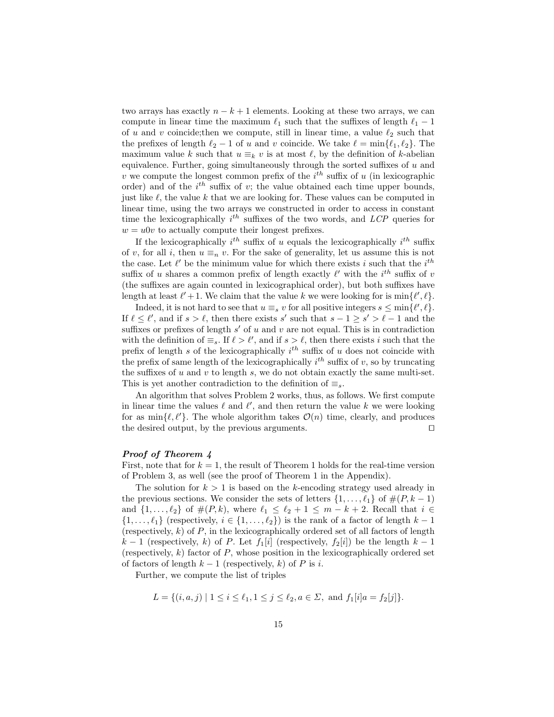two arrays has exactly  $n - k + 1$  elements. Looking at these two arrays, we can compute in linear time the maximum  $\ell_1$  such that the suffixes of length  $\ell_1 - 1$ of *u* and *v* coincide; then we compute, still in linear time, a value  $\ell_2$  such that the prefixes of length  $\ell_2 - 1$  of *u* and *v* coincide. We take  $\ell = \min{\ell_1, \ell_2}$ . The maximum value *k* such that  $u \equiv_k v$  is at most  $\ell$ , by the definition of *k*-abelian equivalence. Further, going simultaneously through the sorted suffixes of  $u$  and *v* we compute the longest common prefix of the  $i^{th}$  suffix of *u* (in lexicographic order) and of the  $i^{th}$  suffix of  $v$ ; the value obtained each time upper bounds, just like  $\ell$ , the value  $k$  that we are looking for. These values can be computed in linear time, using the two arrays we constructed in order to access in constant time the lexicographically  $i^{th}$  suffixes of the two words, and *LCP* queries for  $w = u0v$  to actually compute their longest prefixes.

If the lexicographically  $i^{th}$  suffix of *u* equals the lexicographically  $i^{th}$  suffix of *v*, for all *i*, then  $u \equiv_n v$ . For the sake of generality, let us assume this is not the case. Let  $\ell'$  be the minimum value for which there exists *i* such that the  $i^{th}$ suffix of *u* shares a common prefix of length exactly  $\ell'$  with the  $i^{th}$  suffix of *v*  $($ the suffixes are again counted in lexicographical order), but both suffixes have length at least  $\ell' + 1$ . We claim that the value *k* we were looking for is  $\min{\ell', \ell}$ .

Indeed, it is not hard to see that  $u \equiv_s v$  for all positive integers  $s \leq \min\{\ell', \ell\}.$ If  $\ell \leq \ell'$ , and if  $s > \ell$ , then there exists *s'* such that  $s - 1 \geq s' > \ell - 1$  and the suffixes or prefixes of length  $s'$  of  $u$  and  $v$  are not equal. This is in contradiction with the definition of  $\equiv_s$ . If  $\ell > \ell'$ , and if  $s > \ell$ , then there exists *i* such that the prefix of length  $s$  of the lexicographically  $i^{th}$  suffix of  $u$  does not coincide with the prefix of same length of the lexicographically  $i^{th}$  suffix of  $v$ , so by truncating the suffixes of  $u$  and  $v$  to length  $s$ , we do not obtain exactly the same multi-set. This is yet another contradiction to the definition of  $\equiv_s$ .

An algorithm that solves Problem 2 works, thus, as follows. We first compute in linear time the values  $\ell$  and  $\ell'$ , and then return the value  $k$  we were looking for as  $\min{\ell, \ell'}$ . The whole algorithm takes  $\mathcal{O}(n)$  time, clearly, and produces the desired output, by the previous arguments.  $\Box$ 

#### *Proof of Theorem 4*

First, note that for  $k = 1$ , the result of Theorem 1 holds for the real-time version of Problem 3, as well (see the proof of Theorem 1 in the Appendix).

The solution for  $k > 1$  is based on the *k*-encoding strategy used already in the previous sections. We consider the sets of letters  $\{1, \ldots, \ell_1\}$  of  $\#(P, k-1)$ and  $\{1, ..., \ell_2\}$  of  $\#(P, k)$ , where  $\ell_1 \leq \ell_2 + 1 \leq m - k + 2$ . Recall that  $i \in$  $\{1, \ldots, \ell_1\}$  (respectively,  $i \in \{1, \ldots, \ell_2\}$ ) is the rank of a factor of length  $k-1$ (respectively, *k*) of *P*, in the lexicographically ordered set of all factors of length  $k-1$  (respectively, k) of *P*. Let  $f_1[i]$  (respectively,  $f_2[i]$ ) be the length  $k-1$ (respectively, *k*) factor of *P*, whose position in the lexicographically ordered set of factors of length  $k-1$  (respectively, k) of P is *i*.

Further, we compute the list of triples

$$
L = \{(i, a, j) \mid 1 \le i \le \ell_1, 1 \le j \le \ell_2, a \in \Sigma, \text{ and } f_1[i]a = f_2[j]\}.
$$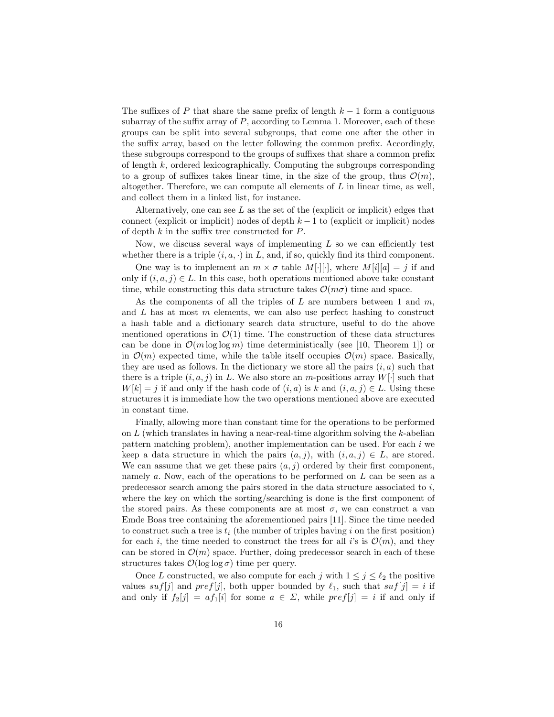The suffixes of *P* that share the same prefix of length  $k-1$  form a contiguous subarray of the suffix array of  $P$ , according to Lemma 1. Moreover, each of these groups can be split into several subgroups, that come one after the other in the suffix array, based on the letter following the common prefix. Accordingly, these subgroups correspond to the groups of suffixes that share a common prefix of length *k*, ordered lexicographically. Computing the subgroups corresponding to a group of suffixes takes linear time, in the size of the group, thus  $\mathcal{O}(m)$ , altogether. Therefore, we can compute all elements of *L* in linear time, as well, and collect them in a linked list, for instance.

Alternatively, one can see *L* as the set of the (explicit or implicit) edges that connect (explicit or implicit) nodes of depth  $k-1$  to (explicit or implicit) nodes of depth  $k$  in the suffix tree constructed for  $P$ .

Now, we discuss several ways of implementing  $L$  so we can efficiently test whether there is a triple  $(i, a, \cdot)$  in *L*, and, if so, quickly find its third component.

One way is to implement an  $m \times \sigma$  table  $M[\cdot][\cdot]$ , where  $M[i][a] = j$  if and only if  $(i, a, j) \in L$ . In this case, both operations mentioned above take constant time, while constructing this data structure takes  $\mathcal{O}(m\sigma)$  time and space.

As the components of all the triples of *L* are numbers between 1 and *m*, and *L* has at most *m* elements, we can also use perfect hashing to construct a hash table and a dictionary search data structure, useful to do the above mentioned operations in  $\mathcal{O}(1)$  time. The construction of these data structures can be done in  $\mathcal{O}(m \log \log m)$  time deterministically (see [10, Theorem 1]) or in  $\mathcal{O}(m)$  expected time, while the table itself occupies  $\mathcal{O}(m)$  space. Basically, they are used as follows. In the dictionary we store all the pairs  $(i, a)$  such that there is a triple  $(i, a, j)$  in L. We also store an *m*-positions array  $W[\cdot]$  such that  $W[k] = j$  if and only if the hash code of  $(i, a)$  is *k* and  $(i, a, j) \in L$ . Using these structures it is immediate how the two operations mentioned above are executed in constant time.

Finally, allowing more than constant time for the operations to be performed on *L* (which translates in having a near-real-time algorithm solving the *k*-abelian pattern matching problem), another implementation can be used. For each *i* we keep a data structure in which the pairs  $(a, j)$ , with  $(i, a, j) \in L$ , are stored. We can assume that we get these pairs  $(a, j)$  ordered by their first component, namely *a*. Now, each of the operations to be performed on *L* can be seen as a predecessor search among the pairs stored in the data structure associated to *i*, where the key on which the sorting/searching is done is the first component of the stored pairs. As these components are at most  $\sigma$ , we can construct a van Emde Boas tree containing the aforementioned pairs [11]. Since the time needed to construct such a tree is *t<sup>i</sup>* (the number of triples having *i* on the first position) for each *i*, the time needed to construct the trees for all *i*'s is  $\mathcal{O}(m)$ , and they can be stored in  $\mathcal{O}(m)$  space. Further, doing predecessor search in each of these structures takes  $\mathcal{O}(\log \log \sigma)$  time per query.

Once *L* constructed, we also compute for each *j* with  $1 \leq j \leq \ell_2$  the positive values *suf*[*j*] and *pref*[*j*], both upper bounded by  $\ell_1$ , such that  $suf[j] = i$  if and only if  $f_2[j] = af_1[i]$  for some  $a \in \Sigma$ , while  $pref[j] = i$  if and only if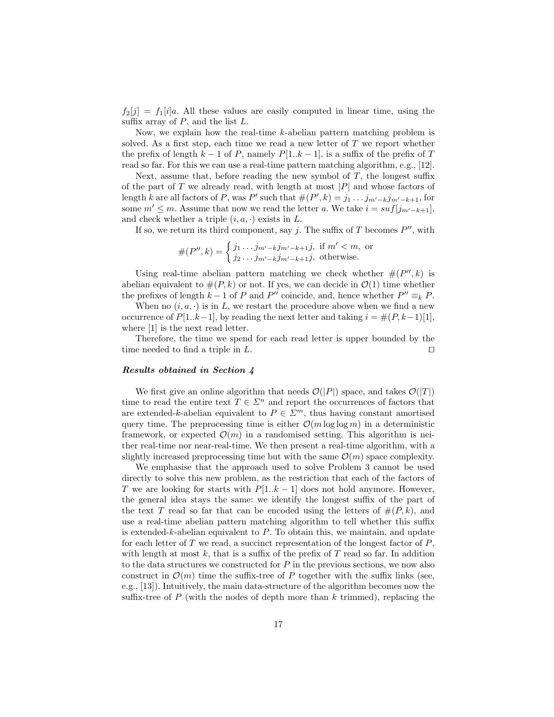$f_2[j] = f_1[i]a$ . All these values are easily computed in linear time, using the suffix array of  $P$ , and the list  $L$ .

Now, we explain how the real-time *k*-abelian pattern matching problem is solved. As a first step, each time we read a new letter of *T* we report whether the prefix of length  $k-1$  of *P*, namely  $P[1..k-1]$ , is a suffix of the prefix of *T* read so far. For this we can use a real-time pattern matching algorithm, e.g., [12].

Next, assume that, before reading the new symbol of  $T$ , the longest suffix of the part of *T* we already read, with length at most *|P|* and whose factors of length *k* are all factors of *P*, was *P*<sup> $\prime$ </sup> such that  $#(P', k) = j_1 \dots j_{m'-k} j_{m'-k+1}$ , for some  $m' \leq m$ . Assume that now we read the letter *a*. We take  $i = \frac{suf[j_{m'-k+1}]}{m}$ , and check whether a triple  $(i, a, \cdot)$  exists in  $L$ .

If so, we return its third component, say *j*. The suffix of *T* becomes  $P''$ , with

$$
#(P'', k) = \begin{cases} j_1 \dots j_{m'-k} j_{m'-k+1} j, & \text{if } m' < m, \text{ or} \\ j_2 \dots j_{m'-k} j_{m'-k+1} j, & \text{otherwise.} \end{cases}
$$

Using real-time abelian pattern matching we check whether  $#(P'', k)$  is abelian equivalent to  $#(P, k)$  or not. If yes, we can decide in  $\mathcal{O}(1)$  time whether the prefixes of length  $k-1$  of *P* and *P*<sup>*n*</sup> coincide, and, hence whether  $P'' \equiv_k P$ .

When no  $(i, a, \cdot)$  is in *L*, we restart the procedure above when we find a new occurrence of  $P[1..k-1]$ , by reading the next letter and taking  $i = \#(P, k-1)[1]$ , where [1] is the next read letter.

Therefore, the time we spend for each read letter is upper bounded by the time needed to find a triple in  $L$ .

#### *Results obtained in Section 4*

We first give an online algorithm that needs  $\mathcal{O}(|P|)$  space, and takes  $\mathcal{O}(|T|)$ time to read the entire text  $T \in \mathbb{Z}^n$  and report the occurrences of factors that are extended-*k*-abelian equivalent to  $P \in \mathbb{Z}^m$ , thus having constant amortised query time. The preprocessing time is either  $\mathcal{O}(m \log \log m)$  in a deterministic framework, or expected  $\mathcal{O}(m)$  in a randomised setting. This algorithm is neither real-time nor near-real-time. We then present a real-time algorithm, with a slightly increased preprocessing time but with the same  $\mathcal{O}(m)$  space complexity.

We emphasise that the approach used to solve Problem 3 cannot be used directly to solve this new problem, as the restriction that each of the factors of *T* we are looking for starts with  $P[1..k-1]$  does not hold anymore. However, the general idea stays the same: we identify the longest suffix of the part of the text *T* read so far that can be encoded using the letters of  $#(P, k)$ , and use a real-time abelian pattern matching algorithm to tell whether this suffix is extended-*k*-abelian equivalent to *P*. To obtain this, we maintain, and update for each letter of *T* we read, a succinct representation of the longest factor of *P*, with length at most  $k$ , that is a suffix of the prefix of  $T$  read so far. In addition to the data structures we constructed for *P* in the previous sections, we now also construct in  $\mathcal{O}(m)$  time the suffix-tree of P together with the suffix links (see, e.g., [13]). Intuitively, the main data-structure of the algorithm becomes now the suffix-tree of  $P$  (with the nodes of depth more than  $k$  trimmed), replacing the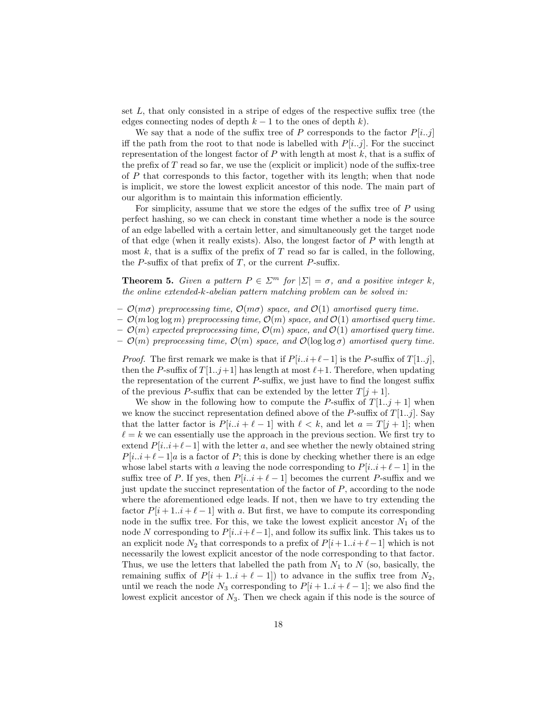set  $L$ , that only consisted in a stripe of edges of the respective suffix tree (the edges connecting nodes of depth  $k-1$  to the ones of depth  $k$ ).

We say that a node of the suffix tree of P corresponds to the factor  $P[i..j]$ iff the path from the root to that node is labelled with  $P[i..j]$ . For the succinct representation of the longest factor of  $P$  with length at most  $k$ , that is a suffix of the prefix of  $T$  read so far, we use the (explicit or implicit) node of the suffix-tree of *P* that corresponds to this factor, together with its length; when that node is implicit, we store the lowest explicit ancestor of this node. The main part of our algorithm is to maintain this information efficiently.

For simplicity, assume that we store the edges of the suffix tree of  $P$  using perfect hashing, so we can check in constant time whether a node is the source of an edge labelled with a certain letter, and simultaneously get the target node of that edge (when it really exists). Also, the longest factor of *P* with length at most  $k$ , that is a suffix of the prefix of  $T$  read so far is called, in the following, the  $P$ -suffix of that prefix of  $T$ , or the current  $P$ -suffix.

**Theorem 5.** *Given a pattern*  $P \in \Sigma^m$  *for*  $|\Sigma| = \sigma$ *, and a positive integer k, the online extended-k-abelian pattern matching problem can be solved in:*

- $\mathcal{O}(m\sigma)$  preprocessing time,  $\mathcal{O}(m\sigma)$  space, and  $\mathcal{O}(1)$  amortised query time.
- $-\mathcal{O}(m \log \log m)$  preprocessing time,  $\mathcal{O}(m)$  space, and  $\mathcal{O}(1)$  amortised query time.
- *O*(*m*) *expected preprocessing time, O*(*m*) *space, and O*(1) *amortised query time.*
- $\mathcal{O}(m)$  preprocessing time,  $\mathcal{O}(m)$  space, and  $\mathcal{O}(\log \log \sigma)$  amortised query time.

*Proof.* The first remark we make is that if  $P[i..i+\ell-1]$  is the *P*-suffix of  $T[1..j]$ , then the *P*-suffix of  $T[1..j+1]$  has length at most  $\ell+1$ . Therefore, when updating the representation of the current  $P$ -suffix, we just have to find the longest suffix of the previous P-suffix that can be extended by the letter  $T[j+1]$ .

We show in the following how to compute the *P*-suffix of  $T[1..j + 1]$  when we know the succinct representation defined above of the *P*-suffix of  $T[1..j]$ . Say that the latter factor is  $P[i..i + \ell - 1]$  with  $\ell < k$ , and let  $a = T[i + 1]$ ; when  $\ell = k$  we can essentially use the approach in the previous section. We first try to extend  $P[i..i+\ell-1]$  with the letter *a*, and see whether the newly obtained string  $P[i..i+\ell-1]a$  is a factor of *P*; this is done by checking whether there is an edge whose label starts with *a* leaving the node corresponding to  $P[i..i + \ell - 1]$  in the suffix tree of *P*. If yes, then  $P[i..i + \ell - 1]$  becomes the current *P*-suffix and we just update the succinct representation of the factor of *P*, according to the node where the aforementioned edge leads. If not, then we have to try extending the factor  $P[i+1..i+\ell-1]$  with a. But first, we have to compute its corresponding node in the suffix tree. For this, we take the lowest explicit ancestor  $N_1$  of the node N corresponding to  $P[i..i+\ell-1]$ , and follow its suffix link. This takes us to an explicit node  $N_2$  that corresponds to a prefix of  $P[i+1..i+\ell-1]$  which is not necessarily the lowest explicit ancestor of the node corresponding to that factor. Thus, we use the letters that labelled the path from  $N_1$  to  $N$  (so, basically, the remaining suffix of  $P[i + 1..i + \ell - 1]$  to advance in the suffix tree from  $N_2$ , until we reach the node  $N_3$  corresponding to  $P[i + 1..i + \ell - 1]$ ; we also find the lowest explicit ancestor of  $N_3$ . Then we check again if this node is the source of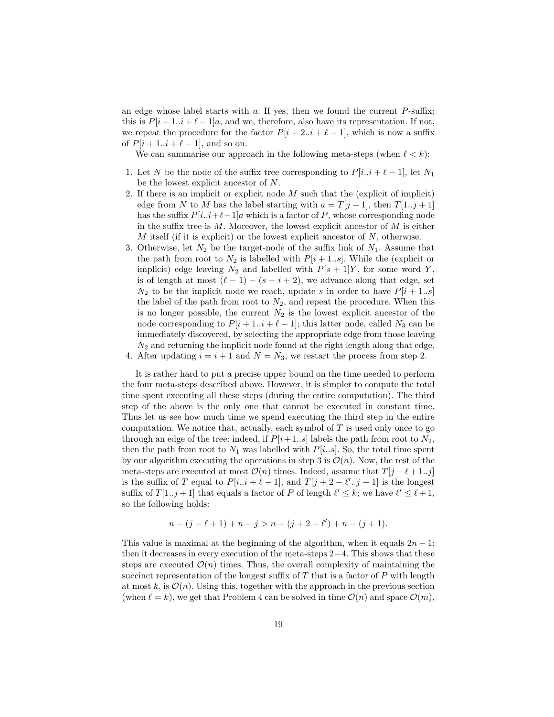an edge whose label starts with  $a$ . If yes, then we found the current  $P$ -suffix; this is  $P[i+1..i+\ell-1]a$ , and we, therefore, also have its representation. If not, we repeat the procedure for the factor  $P[i + 2 \ldots i + \ell - 1]$ , which is now a suffix of  $P[i + 1..i + \ell - 1]$ , and so on.

We can summarise our approach in the following meta-steps (when  $\ell < k$ ):

- 1. Let *N* be the node of the suffix tree corresponding to  $P[i..i + \ell 1]$ , let  $N_1$ be the lowest explicit ancestor of *N*.
- 2. If there is an implicit or explicit node *M* such that the (explicit of implicit) edge from *N* to *M* has the label starting with  $a = T[j + 1]$ , then  $T[1..j + 1]$ has the suffix  $P[i..i+\ell-1]a$  which is a factor of *P*, whose corresponding node in the suffix tree is  $M$ . Moreover, the lowest explicit ancestor of  $M$  is either *M* itself (if it is explicit) or the lowest explicit ancestor of *N*, otherwise.
- 3. Otherwise, let  $N_2$  be the target-node of the suffix link of  $N_1$ . Assume that the path from root to  $N_2$  is labelled with  $P[i + 1..s]$ . While the (explicit or implicit) edge leaving  $N_2$  and labelled with  $P[s + 1]Y$ , for some word Y, is of length at most  $(\ell - 1) - (s - i + 2)$ , we advance along that edge, set  $N_2$  to be the implicit node we reach, update *s* in order to have  $P[i + 1..s]$ the label of the path from root to  $N_2$ , and repeat the procedure. When this is no longer possible, the current  $N_2$  is the lowest explicit ancestor of the node corresponding to  $P[i + 1..i + \ell - 1]$ ; this latter node, called  $N_3$  can be immediately discovered, by selecting the appropriate edge from those leaving *N*<sup>2</sup> and returning the implicit node found at the right length along that edge.
- 4. After updating  $i = i + 1$  and  $N = N_3$ , we restart the process from step 2.

It is rather hard to put a precise upper bound on the time needed to perform the four meta-steps described above. However, it is simpler to compute the total time spent executing all these steps (during the entire computation). The third step of the above is the only one that cannot be executed in constant time. Thus let us see how much time we spend executing the third step in the entire computation. We notice that, actually, each symbol of *T* is used only once to go through an edge of the tree: indeed, if  $P[i+1..s]$  labels the path from root to  $N_2$ , then the path from root to  $N_1$  was labelled with  $P[i..s]$ . So, the total time spent by our algorithm executing the operations in step 3 is  $\mathcal{O}(n)$ . Now, the rest of the meta-steps are executed at most  $\mathcal{O}(n)$  times. Indeed, assume that  $T[j - \ell + 1..j]$ is the suffix of *T* equal to  $P[i..i + \ell - 1]$ , and  $T[j + 2 - \ell'..j + 1]$  is the longest suffix of  $T[1..j + 1]$  that equals a factor of P of length  $\ell' \leq k$ ; we have  $\ell' \leq \ell + 1$ , so the following holds:

$$
n - (j - \ell + 1) + n - j > n - (j + 2 - \ell') + n - (j + 1).
$$

This value is maximal at the beginning of the algorithm, when it equals  $2n - 1$ ; then it decreases in every execution of the meta-steps  $2-4$ . This shows that these steps are executed  $\mathcal{O}(n)$  times. Thus, the overall complexity of maintaining the succinct representation of the longest suffix of  $T$  that is a factor of  $P$  with length at most  $k$ , is  $\mathcal{O}(n)$ . Using this, together with the approach in the previous section (when  $\ell = k$ ), we get that Problem 4 can be solved in time  $\mathcal{O}(n)$  and space  $\mathcal{O}(m)$ ,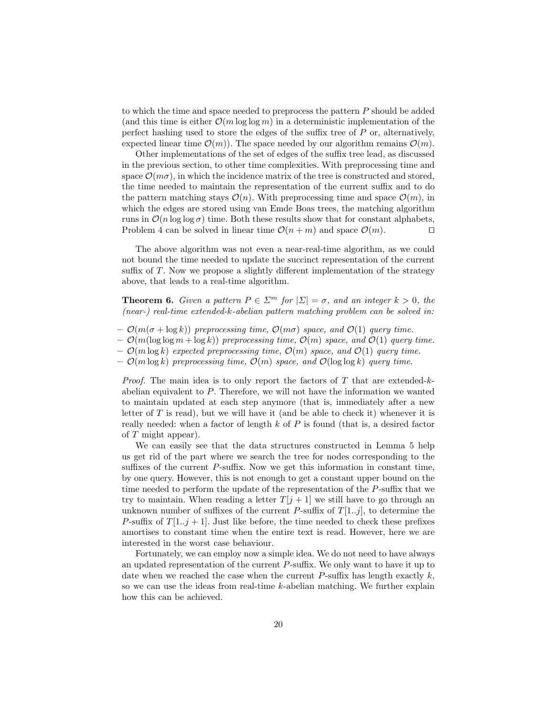to which the time and space needed to preprocess the pattern *P* should be added (and this time is either  $\mathcal{O}(m \log \log m)$ ) in a deterministic implementation of the perfect hashing used to store the edges of the suffix tree of  $P$  or, alternatively, expected linear time  $\mathcal{O}(m)$ . The space needed by our algorithm remains  $\mathcal{O}(m)$ .

Other implementations of the set of edges of the suffix tree lead, as discussed in the previous section, to other time complexities. With preprocessing time and space  $\mathcal{O}(m\sigma)$ , in which the incidence matrix of the tree is constructed and stored, the time needed to maintain the representation of the current suffix and to do the pattern matching stays  $\mathcal{O}(n)$ . With preprocessing time and space  $\mathcal{O}(m)$ , in which the edges are stored using van Emde Boas trees, the matching algorithm runs in  $\mathcal{O}(n \log \log \sigma)$  time. Both these results show that for constant alphabets,<br>Problem 4 can be solved in linear time  $\mathcal{O}(n+m)$  and space  $\mathcal{O}(m)$ . Problem 4 can be solved in linear time  $\mathcal{O}(n+m)$  and space  $\mathcal{O}(m)$ .

The above algorithm was not even a near-real-time algorithm, as we could not bound the time needed to update the succinct representation of the current suffix of  $T$ . Now we propose a slightly different implementation of the strategy above, that leads to a real-time algorithm.

**Theorem 6.** *Given a pattern*  $P \in \Sigma^m$  *for*  $|\Sigma| = \sigma$ *, and an integer*  $k > 0$ *, the (near-) real-time extended-k-abelian pattern matching problem can be solved in:*

- $-\mathcal{O}(m(\sigma + \log k))$  preprocessing time,  $\mathcal{O}(m\sigma)$  space, and  $\mathcal{O}(1)$  query time.
- $-\mathcal{O}(m(\log \log m + \log k))$  preprocessing time,  $\mathcal{O}(m)$  space, and  $\mathcal{O}(1)$  query time.
- $-\mathcal{O}(m \log k)$  *expected preprocessing time,*  $\mathcal{O}(m)$  *space, and*  $\mathcal{O}(1)$  *query time.*
- $-\mathcal{O}(m \log k)$  preprocessing time,  $\mathcal{O}(m)$  space, and  $\mathcal{O}(\log \log k)$  query time.

*Proof.* The main idea is to only report the factors of *T* that are extended-*k*abelian equivalent to *P*. Therefore, we will not have the information we wanted to maintain updated at each step anymore (that is, immediately after a new letter of *T* is read), but we will have it (and be able to check it) whenever it is really needed: when a factor of length *k* of *P* is found (that is, a desired factor of *T* might appear).

We can easily see that the data structures constructed in Lemma 5 help us get rid of the part where we search the tree for nodes corresponding to the suffixes of the current  $P$ -suffix. Now we get this information in constant time, by one query. However, this is not enough to get a constant upper bound on the time needed to perform the update of the representation of the *P*-suffix that we try to maintain. When reading a letter  $T[j+1]$  we still have to go through an unknown number of suffixes of the current *P*-suffix of  $T[1..j]$ , to determine the *P*-suffix of  $T[1..j + 1]$ . Just like before, the time needed to check these prefixes amortises to constant time when the entire text is read. However, here we are interested in the worst case behaviour.

Fortunately, we can employ now a simple idea. We do not need to have always an updated representation of the current *P*-suffix. We only want to have it up to date when we reached the case when the current  $P$ -suffix has length exactly  $k$ , so we can use the ideas from real-time *k*-abelian matching. We further explain how this can be achieved.